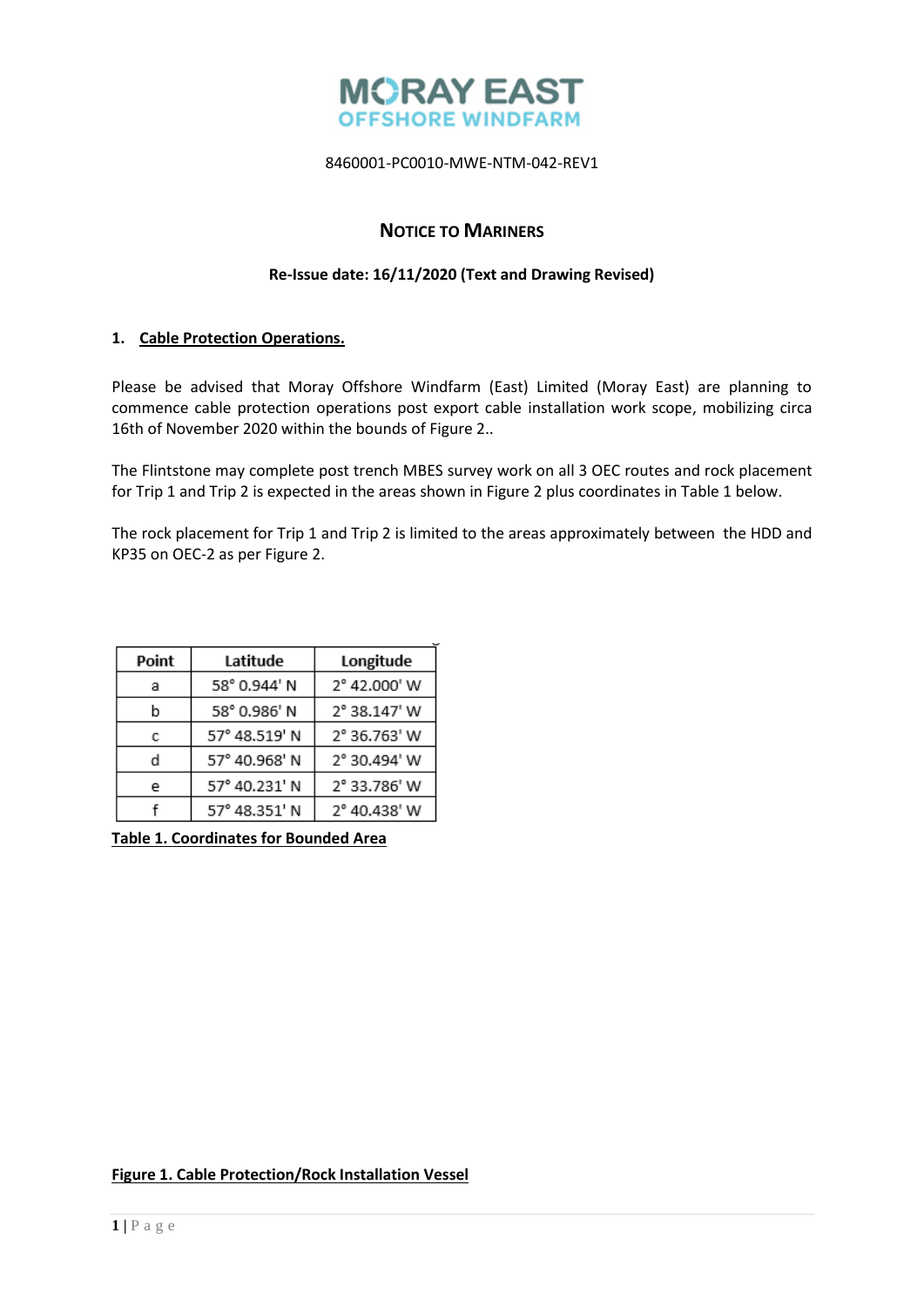

# **NOTICE TO MARINERS**

### **Re-Issue date: 16/11/2020 (Text and Drawing Revised)**

## **1. Cable Protection Operations.**

Please be advised that Moray Offshore Windfarm (East) Limited (Moray East) are planning to commence cable protection operations post export cable installation work scope, mobilizing circa 16th of November 2020 within the bounds of Figure 2..

The Flintstone may complete post trench MBES survey work on all 3 OEC routes and rock placement for Trip 1 and Trip 2 is expected in the areas shown in Figure 2 plus coordinates in Table 1 below.

The rock placement for Trip 1 and Trip 2 is limited to the areas approximately between the HDD and KP35 on OEC-2 as per Figure 2.

| Point | Latitude      | Longitude    |
|-------|---------------|--------------|
| а     | 58° 0.944' N  | 2° 42.000' W |
| b     | 58° 0.986' N  | 2° 38.147' W |
| с     | 57° 48.519' N | 2° 36.763' W |
| d     | 57° 40.968' N | 2° 30.494' W |
| e     | 57° 40.231' N | 2° 33.786' W |
|       | 57° 48.351' N | 2° 40.438' W |

**Table 1. Coordinates for Bounded Area**

### **Figure 1. Cable Protection/Rock Installation Vessel**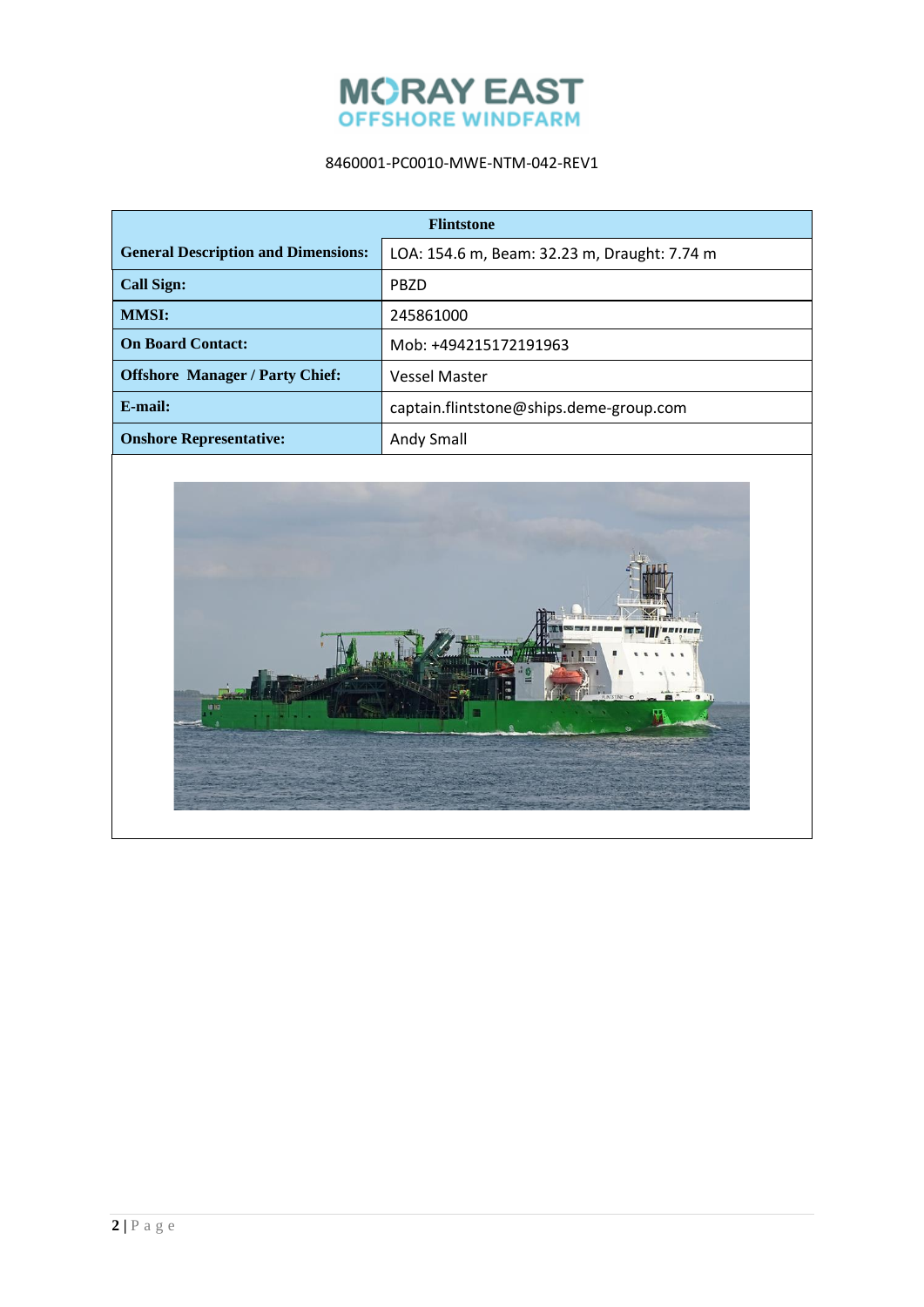

| <b>Flintstone</b>                          |                                              |  |
|--------------------------------------------|----------------------------------------------|--|
| <b>General Description and Dimensions:</b> | LOA: 154.6 m, Beam: 32.23 m, Draught: 7.74 m |  |
| <b>Call Sign:</b>                          | <b>PBZD</b>                                  |  |
| <b>MMSI:</b>                               | 245861000                                    |  |
| <b>On Board Contact:</b>                   | Mob: +494215172191963                        |  |
| <b>Offshore Manager / Party Chief:</b>     | <b>Vessel Master</b>                         |  |
| $E$ -mail:                                 | captain.flintstone@ships.deme-group.com      |  |
| <b>Onshore Representative:</b>             | Andy Small                                   |  |

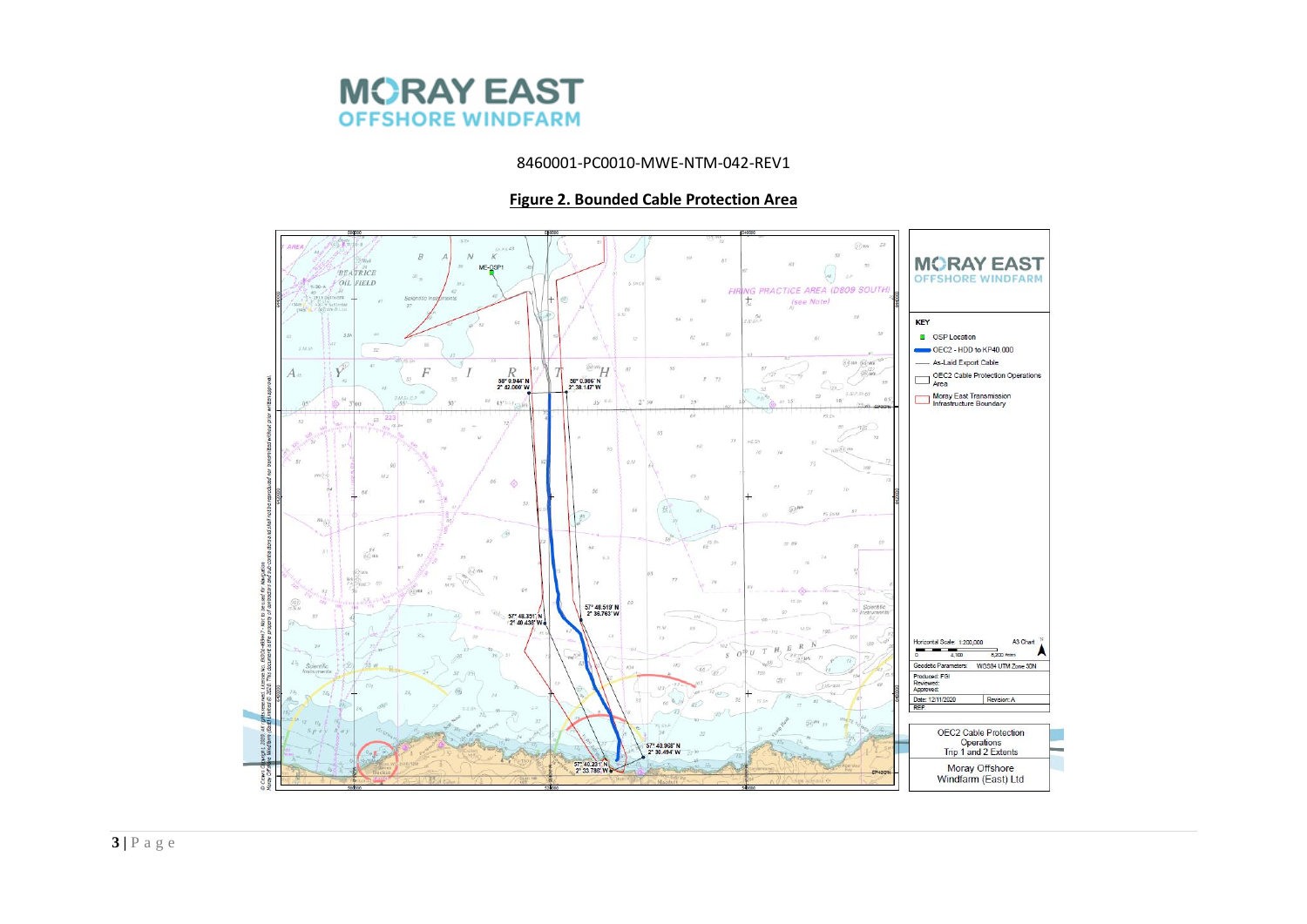

#### **Figure 2. Bounded Cable Protection Area**